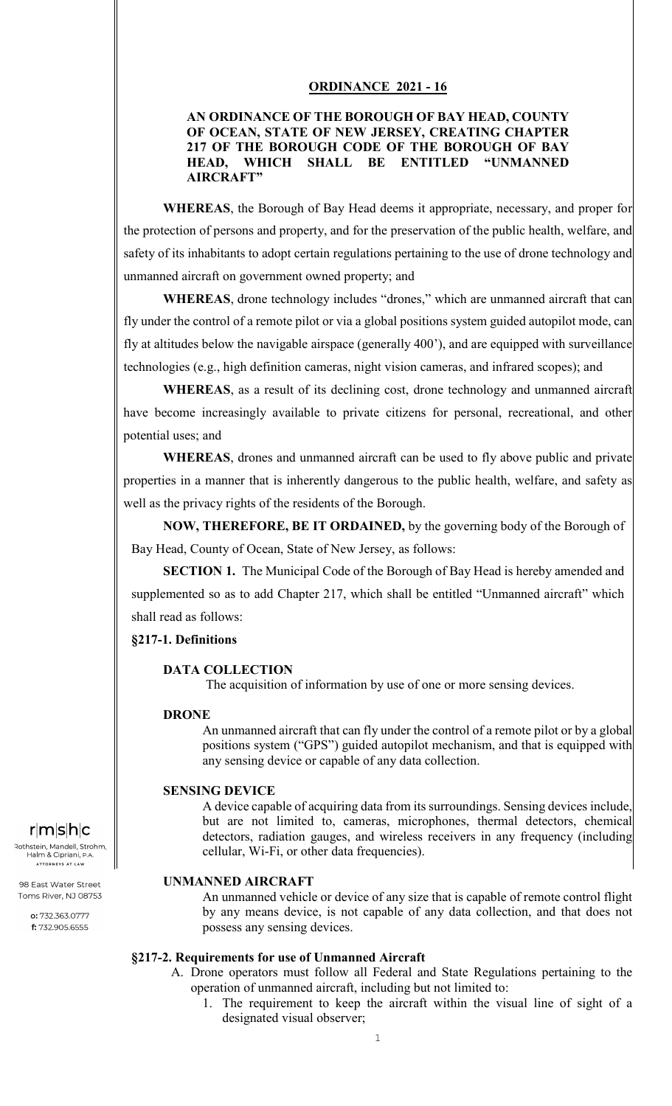## **ORDINANCE 2021 - 16**

# **AN ORDINANCE OF THE BOROUGH OF BAY HEAD, COUNTY OF OCEAN, STATE OF NEW JERSEY, CREATING CHAPTER 217 OF THE BOROUGH CODE OF THE BOROUGH OF BAY HEAD, WHICH SHALL BE ENTITLED "UNMANNED AIRCRAFT"**

**WHEREAS**, the Borough of Bay Head deems it appropriate, necessary, and proper for the protection of persons and property, and for the preservation of the public health, welfare, and safety of its inhabitants to adopt certain regulations pertaining to the use of drone technology and unmanned aircraft on government owned property; and

**WHEREAS**, drone technology includes "drones," which are unmanned aircraft that can fly under the control of a remote pilot or via a global positions system guided autopilot mode, can fly at altitudes below the navigable airspace (generally 400'), and are equipped with surveillance technologies (e.g., high definition cameras, night vision cameras, and infrared scopes); and

**WHEREAS**, as a result of its declining cost, drone technology and unmanned aircraft have become increasingly available to private citizens for personal, recreational, and other potential uses; and

**WHEREAS**, drones and unmanned aircraft can be used to fly above public and private properties in a manner that is inherently dangerous to the public health, welfare, and safety as well as the privacy rights of the residents of the Borough.

**NOW, THEREFORE, BE IT ORDAINED,** by the governing body of the Borough of Bay Head, County of Ocean, State of New Jersey, as follows:

**SECTION 1.** The Municipal Code of the Borough of Bay Head is hereby amended and supplemented so as to add Chapter 217, which shall be entitled "Unmanned aircraft" which shall read as follows:

## **§217-1. Definitions**

## **DATA COLLECTION**

The acquisition of information by use of one or more sensing devices.

## **DRONE**

An unmanned aircraft that can fly under the control of a remote pilot or by a global positions system ("GPS") guided autopilot mechanism, and that is equipped with any sensing device or capable of any data collection.

## **SENSING DEVICE**

A device capable of acquiring data from its surroundings. Sensing devices include, but are not limited to, cameras, microphones, thermal detectors, chemical detectors, radiation gauges, and wireless receivers in any frequency (including cellular, Wi-Fi, or other data frequencies).

## **UNMANNED AIRCRAFT**

An unmanned vehicle or device of any size that is capable of remote control flight by any means device, is not capable of any data collection, and that does not possess any sensing devices.

# **§217-2. Requirements for use of Unmanned Aircraft**

- A. Drone operators must follow all Federal and State Regulations pertaining to the operation of unmanned aircraft, including but not limited to:
	- 1. The requirement to keep the aircraft within the visual line of sight of a designated visual observer;

# $r|m|s|h|c$

Rothstein, Mandell, Strohm, Halm & Cipriani, ATTORNEYS AT LAW

98 East Water Street Toms River, NJ 08753

> o: 732.363.0777 f: 732.905.6555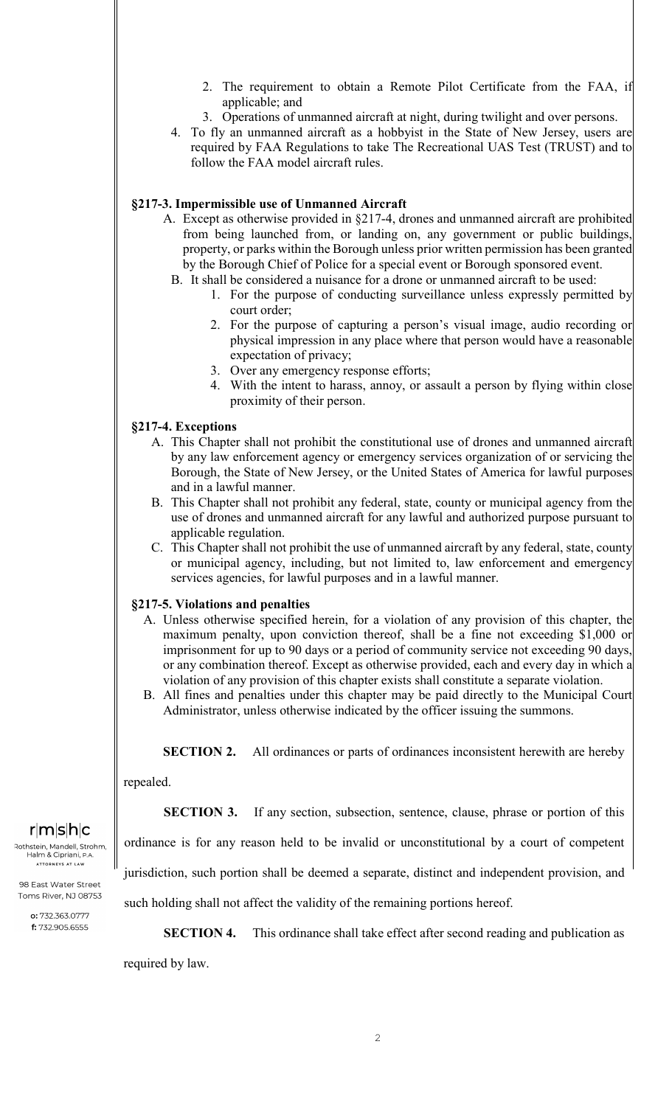- 2. The requirement to obtain a Remote Pilot Certificate from the FAA, if applicable; and
- 3. Operations of unmanned aircraft at night, during twilight and over persons.
- 4. To fly an unmanned aircraft as a hobbyist in the State of New Jersey, users are required by FAA Regulations to take The Recreational UAS Test (TRUST) and to follow the FAA model aircraft rules.

# **§217-3. Impermissible use of Unmanned Aircraft**

- A. Except as otherwise provided in §217-4, drones and unmanned aircraft are prohibited from being launched from, or landing on, any government or public buildings, property, or parks within the Borough unless prior written permission has been granted by the Borough Chief of Police for a special event or Borough sponsored event.
	- B. It shall be considered a nuisance for a drone or unmanned aircraft to be used:
		- 1. For the purpose of conducting surveillance unless expressly permitted by court order;
		- 2. For the purpose of capturing a person's visual image, audio recording or physical impression in any place where that person would have a reasonable expectation of privacy;
		- 3. Over any emergency response efforts;
		- 4. With the intent to harass, annoy, or assault a person by flying within close proximity of their person.

# **§217-4. Exceptions**

- A. This Chapter shall not prohibit the constitutional use of drones and unmanned aircraft by any law enforcement agency or emergency services organization of or servicing the Borough, the State of New Jersey, or the United States of America for lawful purposes and in a lawful manner.
- B. This Chapter shall not prohibit any federal, state, county or municipal agency from the use of drones and unmanned aircraft for any lawful and authorized purpose pursuant to applicable regulation.
- C. This Chapter shall not prohibit the use of unmanned aircraft by any federal, state, county or municipal agency, including, but not limited to, law enforcement and emergency services agencies, for lawful purposes and in a lawful manner.

# **§217-5. Violations and penalties**

- A. Unless otherwise specified herein, for a violation of any provision of this chapter, the maximum penalty, upon conviction thereof, shall be a fine not exceeding \$1,000 or imprisonment for up to 90 days or a period of community service not exceeding 90 days, or any combination thereof. Except as otherwise provided, each and every day in which a violation of any provision of this chapter exists shall constitute a separate violation.
- B. All fines and penalties under this chapter may be paid directly to the Municipal Court Administrator, unless otherwise indicated by the officer issuing the summons.

## **SECTION 2.** All ordinances or parts of ordinances inconsistent herewith are hereby

repealed.

**SECTION 3.** If any section, subsection, sentence, clause, phrase or portion of this

ordinance is for any reason held to be invalid or unconstitutional by a court of competent

jurisdiction, such portion shall be deemed a separate, distinct and independent provision, and

such holding shall not affect the validity of the remaining portions hereof.

**SECTION 4.** This ordinance shall take effect after second reading and publication as

required by law.

Rothstein, Mandell, Strohm, Halm & Cipriani, ATTORNEYS AT LAW

98 East Water Street Toms River, NJ 08753

o: 732.363.0777 f: 732.905.6555